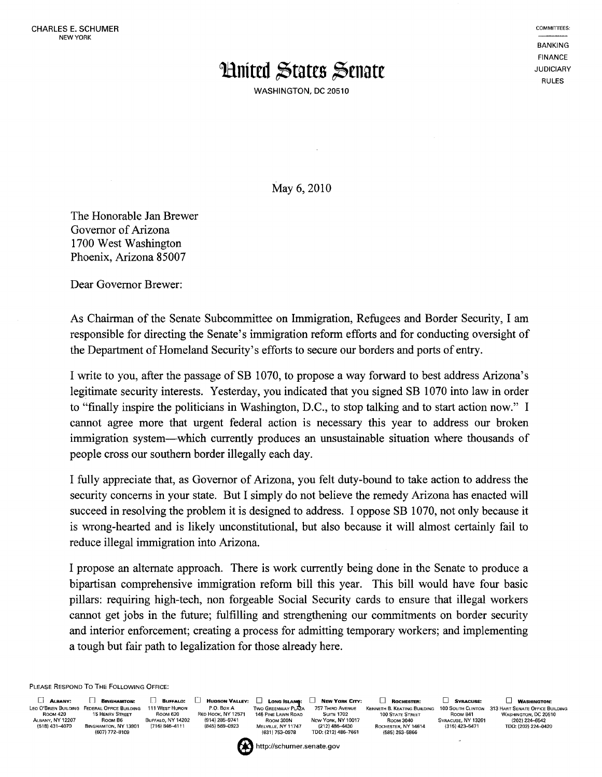## **Huited States Senate**

WASHINGTON, DC 20510

**BANKING** FINANCE JUDICIARY RULES

COMMITIEES:

May 6, 2010

The Honorable Jan Brewer Governor of Arizona 1700 West Washington Phoenix, Arizona 85007

Dear Governor Brewer:

As Chairman of the Senate Subcommittee on Immigration, Refugees and Border Security, I am responsible for directing the Senate's immigration reform efforts and for conducting oversight of the Department of Homeland Security's efforts to secure our borders and ports of entry.

I write to you, after the passage of SB 1070, to propose a way forward to best address Arizona's legitimate security interests. Yesterday, you indicated that you signed SB 1070 into law in order to "finally inspire the politicians in Washington, D.C., to stop talking and to start action now." I cannot agree more that urgent federal action is necessary this year to address our broken immigration system-which currently produces an unsustainable situation where thousands of people cross our southern border illegally each day.

I fully appreciate that, as Governor of Arizona, you felt duty-bound to take action to address the security concerns in your state. But I simply do not believe the remedy Arizona has enacted will succeed in resolving the problem it is designed to address. I oppose SB 1070, not only because it is wrong-hearted and is likely unconstitutional, but also because it will almost certainly fail to reduce illegal immigration into Arizona.

I propose an alternate approach. There is work currently being done in the Senate to produce a bipartisan comprehensive immigration reform bill this year. This bill would have four basic pillars: requiring high-tech, non forgeable Social Security cards to ensure that illegal workers cannot get jobs in the future; fulfilling and strengthening our commitments on border security and interior enforcement; creating a process for admitting temporary workers; and implementing a tough but fair path to legalization for those already here.

PLEASE RESPOND To THE FOLLOWING OFFice:

LEO O'BRIEN BUILDING FEDERAL OFFICE BUILDING 111 WEST HURON<br>ROOM 420 15 HEINRY STREET ROOM BO<br>ABJAY, NY 12207 ROOM BG BUFFALO, NY 14202<br>(518) 431-4070 BINGHAMTON, NY 13901 (716) 846-4111 **15 HENRY STREET** ALBANY, NY 12207 ROOM 86 BUFFALO, NY 14202 (518)431-4070 BINGHAMTON, NY 13901 (716)846-4111 (607)772-8109

RED HOOK, NY12571 145 PINE LAWN ROAD - SUITE 1702 - 100 STATE STREET - ROOM 841<br>- (914) 285–9741 - ROOM 300N - NEW YORK, NY10017 - ROOM 3040 - SYRACUSE, NY13261<br>- (845) 569–0923 - Меlville, NY11747 - (212) 486–4430 - ROCH (631) 753-0978 TOO: (212) 486-7430<br>
(631) 753-0978 TDD: (212) 486-7661 (585) 263-5866<br>
(585) 263-5866 \* http://schumer.senate.gov

o **AL8ANV':** n **BINGHAMTON:** [l BUFFALO: o HUDSON VALLEY: D LONG ISLA'"t D NEW YORK CITY: D ROCHESTER: D SYRACUSE: o **WASHINGTON:** 

P.o. Box A Two GREENWAY PLAZA 757 THIRD AVENUE KENNETH B. KEATING BUILDING 100 SOUTH CUNTON 313 HART SENATE OFFICE BUILDING WASHINGTON, DC 20510 (202)224-6542 TOO: (202)224-0420